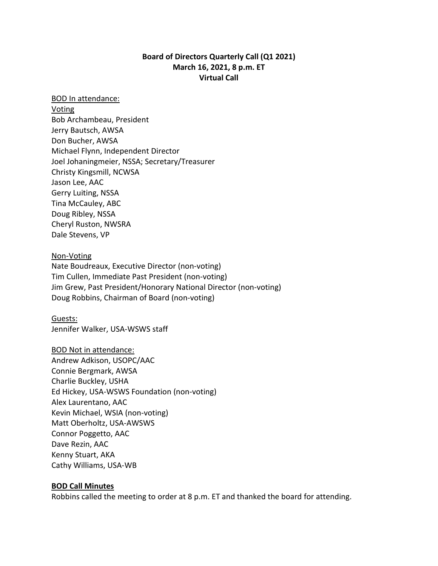# **Board of Directors Quarterly Call (Q1 2021) March 16, 2021, 8 p.m. ET Virtual Call**

# BOD In attendance:

**Voting** Bob Archambeau, President Jerry Bautsch, AWSA Don Bucher, AWSA Michael Flynn, Independent Director Joel Johaningmeier, NSSA; Secretary/Treasurer Christy Kingsmill, NCWSA Jason Lee, AAC Gerry Luiting, NSSA Tina McCauley, ABC Doug Ribley, NSSA Cheryl Ruston, NWSRA Dale Stevens, VP

## Non-Voting

Nate Boudreaux, Executive Director (non-voting) Tim Cullen, Immediate Past President (non-voting) Jim Grew, Past President/Honorary National Director (non-voting) Doug Robbins, Chairman of Board (non-voting)

## Guests:

Jennifer Walker, USA-WSWS staff

#### BOD Not in attendance:

Andrew Adkison, USOPC/AAC Connie Bergmark, AWSA Charlie Buckley, USHA Ed Hickey, USA-WSWS Foundation (non-voting) Alex Laurentano, AAC Kevin Michael, WSIA (non-voting) Matt Oberholtz, USA-AWSWS Connor Poggetto, AAC Dave Rezin, AAC Kenny Stuart, AKA Cathy Williams, USA-WB

#### **BOD Call Minutes**

Robbins called the meeting to order at 8 p.m. ET and thanked the board for attending.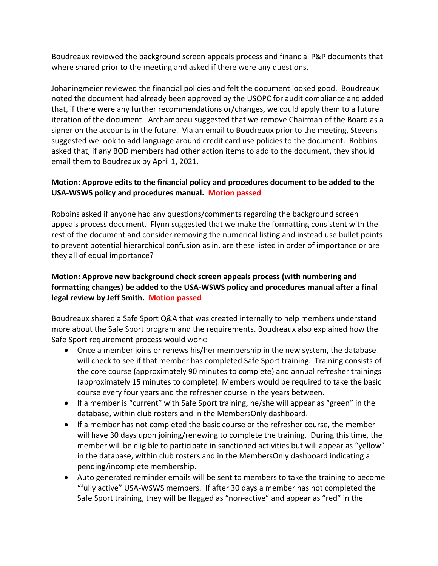Boudreaux reviewed the background screen appeals process and financial P&P documents that where shared prior to the meeting and asked if there were any questions.

Johaningmeier reviewed the financial policies and felt the document looked good. Boudreaux noted the document had already been approved by the USOPC for audit compliance and added that, if there were any further recommendations or/changes, we could apply them to a future iteration of the document. Archambeau suggested that we remove Chairman of the Board as a signer on the accounts in the future. Via an email to Boudreaux prior to the meeting, Stevens suggested we look to add language around credit card use policies to the document. Robbins asked that, if any BOD members had other action items to add to the document, they should email them to Boudreaux by April 1, 2021.

# **Motion: Approve edits to the financial policy and procedures document to be added to the USA-WSWS policy and procedures manual. Motion passed**

Robbins asked if anyone had any questions/comments regarding the background screen appeals process document. Flynn suggested that we make the formatting consistent with the rest of the document and consider removing the numerical listing and instead use bullet points to prevent potential hierarchical confusion as in, are these listed in order of importance or are they all of equal importance?

# **Motion: Approve new background check screen appeals process (with numbering and formatting changes) be added to the USA-WSWS policy and procedures manual after a final legal review by Jeff Smith. Motion passed**

Boudreaux shared a Safe Sport Q&A that was created internally to help members understand more about the Safe Sport program and the requirements. Boudreaux also explained how the Safe Sport requirement process would work:

- Once a member joins or renews his/her membership in the new system, the database will check to see if that member has completed Safe Sport training. Training consists of the core course (approximately 90 minutes to complete) and annual refresher trainings (approximately 15 minutes to complete). Members would be required to take the basic course every four years and the refresher course in the years between.
- If a member is "current" with Safe Sport training, he/she will appear as "green" in the database, within club rosters and in the MembersOnly dashboard.
- If a member has not completed the basic course or the refresher course, the member will have 30 days upon joining/renewing to complete the training. During this time, the member will be eligible to participate in sanctioned activities but will appear as "yellow" in the database, within club rosters and in the MembersOnly dashboard indicating a pending/incomplete membership.
- Auto generated reminder emails will be sent to members to take the training to become "fully active" USA-WSWS members. If after 30 days a member has not completed the Safe Sport training, they will be flagged as "non-active" and appear as "red" in the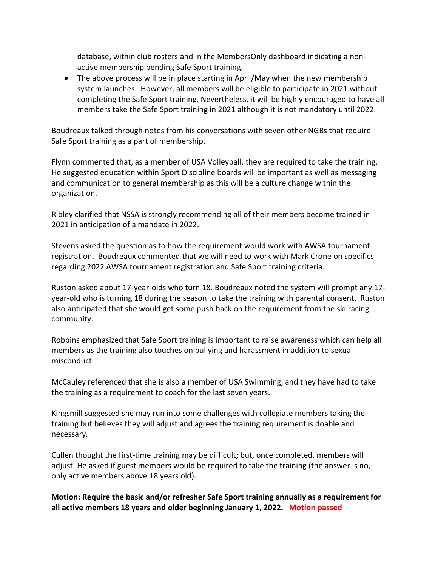database, within club rosters and in the MembersOnly dashboard indicating a nonactive membership pending Safe Sport training.

• The above process will be in place starting in April/May when the new membership system launches. However, all members will be eligible to participate in 2021 without completing the Safe Sport training. Nevertheless, it will be highly encouraged to have all members take the Safe Sport training in 2021 although it is not mandatory until 2022.

Boudreaux talked through notes from his conversations with seven other NGBs that require Safe Sport training as a part of membership.

Flynn commented that, as a member of USA Volleyball, they are required to take the training. He suggested education within Sport Discipline boards will be important as well as messaging and communication to general membership as this will be a culture change within the organization.

Ribley clarified that NSSA is strongly recommending all of their members become trained in 2021 in anticipation of a mandate in 2022.

Stevens asked the question as to how the requirement would work with AWSA tournament registration. Boudreaux commented that we will need to work with Mark Crone on specifics regarding 2022 AWSA tournament registration and Safe Sport training criteria.

Ruston asked about 17-year-olds who turn 18. Boudreaux noted the system will prompt any 17 year-old who is turning 18 during the season to take the training with parental consent. Ruston also anticipated that she would get some push back on the requirement from the ski racing community.

Robbins emphasized that Safe Sport training is important to raise awareness which can help all members as the training also touches on bullying and harassment in addition to sexual misconduct.

McCauley referenced that she is also a member of USA Swimming, and they have had to take the training as a requirement to coach for the last seven years.

Kingsmill suggested she may run into some challenges with collegiate members taking the training but believes they will adjust and agrees the training requirement is doable and necessary.

Cullen thought the first-time training may be difficult; but, once completed, members will adjust. He asked if guest members would be required to take the training (the answer is no, only active members above 18 years old).

**Motion: Require the basic and/or refresher Safe Sport training annually as a requirement for all active members 18 years and older beginning January 1, 2022. Motion passed**